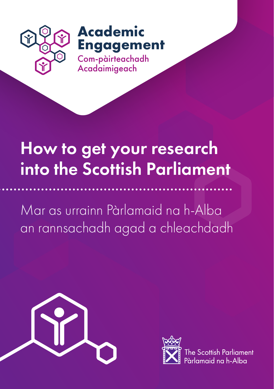

## **Academic Engagement**

Com-pàirteachadh Acadaimigeach

# How to get your research into the Scottish Parliament

Mar as urrainn Pàrlamaid na h-Alba an rannsachadh agad a chleachdadh





e Scottish Parliament àrlamaid na h-Alba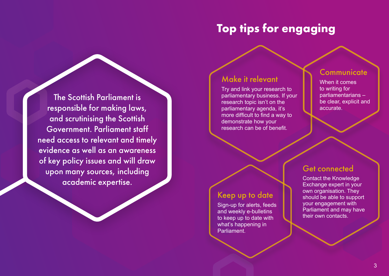# **Top tips for engaging**

## Make it relevant

Keep up to date Sign-up for alerts, feeds and weekly e-bulletins to keep up to date with what's happening in

Parliament.

Try and link your research to parliamentary business. If your research topic isn't on the parliamentary agenda, it's more difficult to find a way to demonstrate how your research can be of benefit.

## **Communicate**

When it comes to writing for parliamentarians – be clear, explicit and accurate.

## Get connected

Contact the Knowledge Exchange expert in your own organisation. They should be able to support your engagement with Parliament and may have their own contacts.

The Scottish Parliament is responsible for making laws, and scrutinising the Scottish Government. Parliament staff need access to relevant and timely evidence as well as an awareness of key policy issues and will draw upon many sources, including academic expertise.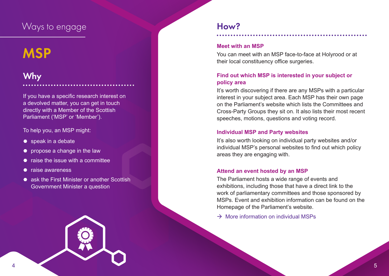# **MSP**

# Why

If you have a specific research interest on a devolved matter, you can get in touch directly with a Member of the Scottish Parliament ('MSP' or 'Member').

To help you, an MSP might:

- speak in a debate
- propose a change in the law
- raise the issue with a committee
- raise awareness
- ask the First Minister or another Scottish Government Minister a question



## How?

### **Meet with an MSP**

You can meet with an MSP face-to-face at Holyrood or at their local constituency office surgeries.

### **Find out which MSP is interested in your subject or policy area**

It's worth discovering if there are any MSPs with a particular interest in your subject area. Each MSP has their own page on the Parliament's website which lists the Committees and Cross-Party Groups they sit on. It also lists their most recent speeches, motions, questions and voting record.

### **Individual MSP and Party websites**

It's also worth looking on individual party websites and/or individual MSP's personal websites to find out which policy areas they are engaging with.

#### **Attend an event hosted by an MSP**

The Parliament hosts a wide range of events and exhibitions, including those that have a direct link to the work of parliamentary committees and those sponsored by MSPs. Event and exhibition information can be found on the Homepage of the Parliament's website.

 $\rightarrow$  [More information on individual MSPs](https://www.parliament.scot/msps/current-msps.aspx)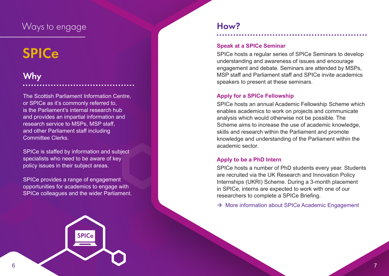# SPICe

# Why

The Scottish Parliament Information Centre, or SPICe as it's commonly referred to, is the Parliament's internal research hub and provides an impartial information and research service to MSPs, MSP staff, and other Parliament staff including Committee Clerks.

SPICe is staffed by information and subject specialists who need to be aware of key policy issues in their subject areas.

SPICe provides a range of engagement opportunities for academics to engage with SPICe colleagues and the wider Parliament.

## How?

#### **Speak at a SPICe Seminar**

SPICe hosts a regular series of SPICe Seminars to develop understanding and awareness of issues and encourage engagement and debate. Seminars are attended by MSPs, MSP staff and Parliament staff and SPICe invite academics speakers to present at these seminars.

### **Apply for a SPICe Fellowship**

SPICe hosts an annual Academic Fellowship Scheme which enables academics to work on projects and communicate analysis which would otherwise not be possible. The Scheme aims to increase the use of academic knowledge, skills and research within the Parliament and promote knowledge and understanding of the Parliament within the academic sector.

### **Apply to be a PhD Intern**

SPICe hosts a number of PhD students every year. Students are recruited via the UK Research and Innovation Policy Internships (UKRI) Scheme. During a 3-month placement in SPICe, interns are expected to work with one of our researchers to complete a SPICe Briefing.

 $\rightarrow$  [More information about SPICe Academic Engagement](https://www.parliament.scot/parliamentarybusiness/100471.aspx)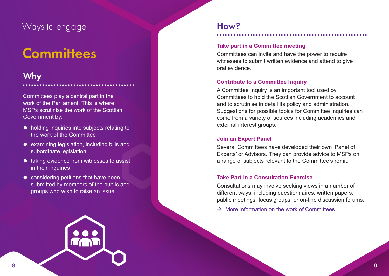# **Committees**

## Why

8

Committees play a central part in the work of the Parliament. This is where MSPs scrutinise the work of the Scottish Government by:

- holding inquiries into subjects relating to the work of the Committee
- examining legislation, including bills and subordinate legislation
- $\bullet$  taking evidence from witnesses to assist in their inquiries
- considering petitions that have been submitted by members of the public and groups who wish to raise an issue



## How?

### **Take part in a Committee meeting**

Committees can invite and have the power to require witnesses to submit written evidence and attend to give oral evidence.

### **Contribute to a Committee Inquiry**

A Committee Inquiry is an important tool used by Committees to hold the Scottish Government to account and to scrutinise in detail its policy and administration. Suggestions for possible topics for Committee inquiries can come from a variety of sources including academics and external interest groups.

### **Join an Expert Panel**

Several Committees have developed their own 'Panel of Experts' or Advisors. They can provide advice to MSPs on a range of subjects relevant to the Committee's remit.

### **Take Part in a Consultation Exercise**

Consultations may involve seeking views in a number of different ways, including questionnaires, written papers, public meetings, focus groups, or on-line discussion forums.

 $\rightarrow$  [More information on the work of Committees](https://www.parliament.scot/parliamentarybusiness/committees.aspx)

9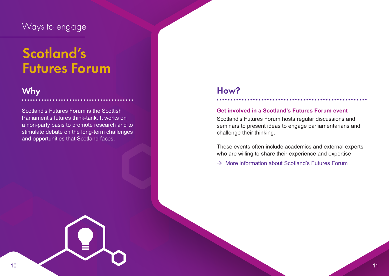# Scotland's Futures Forum

## Why

Scotland's Futures Forum is the Scottish Parliament's futures think-tank. It works on a non-party basis to promote research and to stimulate debate on the long-term challenges and opportunities that Scotland faces.

## How?

#### **Get involved in a Scotland's Futures Forum event**

Scotland's Futures Forum hosts regular discussions and seminars to present ideas to engage parliamentarians and challenge their thinking.

These events often include academics and external experts who are willing to share their experience and expertise

 $\rightarrow$  [More information about Scotland's Futures Forum](https://www.scotlandfutureforum.org/)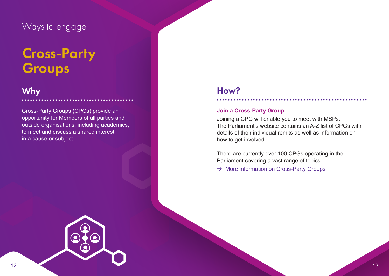# Cross-Party **Groups**

## Why

Cross-Party Groups (CPGs) provide an opportunity for Members of all parties and outside organisations, including academics, to meet and discuss a shared interest in a cause or subject.

## How?

#### **Join a Cross-Party Group**

Joining a CPG will enable you to meet with MSPs. The Parliament's website contains an A-Z list of CPGs with details of their individual remits as well as information on how to get involved.

There are currently over 100 CPGs operating in the Parliament covering a vast range of topics.

 $\rightarrow$  [More information on Cross-Party Groups](https://www.parliament.scot/msps/cross-party-groups.aspx)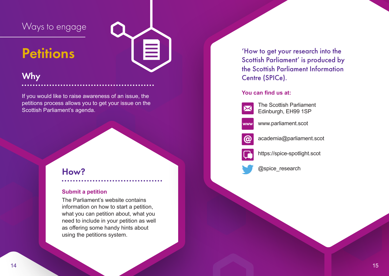# **Petitions**

## Why

If you would like to raise awareness of an issue, the petitions process allows you to get your issue on the Scottish Parliament's agenda.

## How?

#### **Submit a petition**

The Parliament's website contains information on how to start a petition, what you can petition about, what you need to include in your petition as well as offering some handy hints about using the petitions system.

'How to get your research into the Scottish Parliament' is produced by the Scottish Parliament Information Centre (SPICe).

#### **You can find us at:**



The Scottish Parliament Edinburgh, EH99 1SP



www.parliament.scot

academia@parliament.scot



https://spice-spotlight.scot



@spice\_research